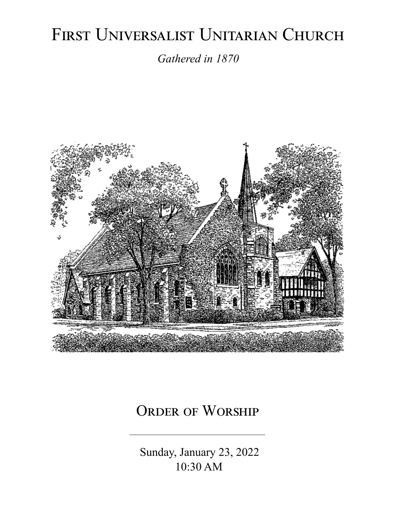# FIRST UNIVERSALIST UNITARIAN CHURCH

*Gathered in 1870*



# ORDER OF WORSHIP

 Sunday, January 23, 2022 10:30 AM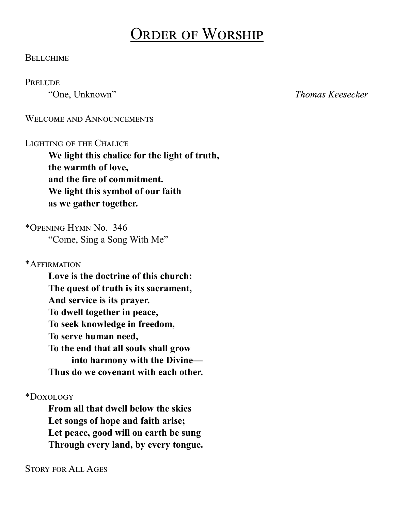# Order of Worship

#### **BELLCHIME**

#### **PRELUDE**

"One, Unknown" *Thomas Keesecker*

WELCOME AND ANNOUNCEMENTS

#### LIGHTING OF THE CHALICE

**We light this chalice for the light of truth, the warmth of love, and the fire of commitment. We light this symbol of our faith as we gather together.**

\*Opening Hymn No. 346 "Come, Sing a Song With Me"

\*Affirmation

**Love is the doctrine of this church: The quest of truth is its sacrament, And service is its prayer. To dwell together in peace, To seek knowledge in freedom, To serve human need, To the end that all souls shall grow into harmony with the Divine— Thus do we covenant with each other.**

\*Doxology

**From all that dwell below the skies Let songs of hope and faith arise; Let peace, good will on earth be sung Through every land, by every tongue.**

Story for All Ages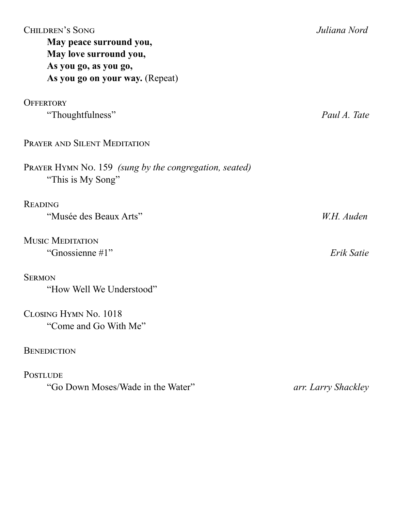| <b>CHILDREN'S SONG</b><br>May peace surround you,<br>May love surround you,<br>As you go, as you go,<br>As you go on your way. (Repeat) | Juliana Nord        |
|-----------------------------------------------------------------------------------------------------------------------------------------|---------------------|
| <b>OFFERTORY</b>                                                                                                                        |                     |
| "Thoughtfulness"                                                                                                                        | Paul A. Tate        |
| PRAYER AND SILENT MEDITATION                                                                                                            |                     |
| PRAYER HYMN No. 159 (sung by the congregation, seated)<br>"This is My Song"                                                             |                     |
| <b>READING</b>                                                                                                                          |                     |
| "Musée des Beaux Arts"                                                                                                                  | W.H. Auden          |
| <b>MUSIC MEDITATION</b>                                                                                                                 |                     |
| "Gnossienne #1"                                                                                                                         | Erik Satie          |
| <b>SERMON</b>                                                                                                                           |                     |
| "How Well We Understood"                                                                                                                |                     |
| CLOSING HYMN No. 1018                                                                                                                   |                     |
| "Come and Go With Me"                                                                                                                   |                     |
| <b>BENEDICTION</b>                                                                                                                      |                     |
| <b>POSTLUDE</b>                                                                                                                         |                     |
| "Go Down Moses/Wade in the Water"                                                                                                       | arr. Larry Shackley |